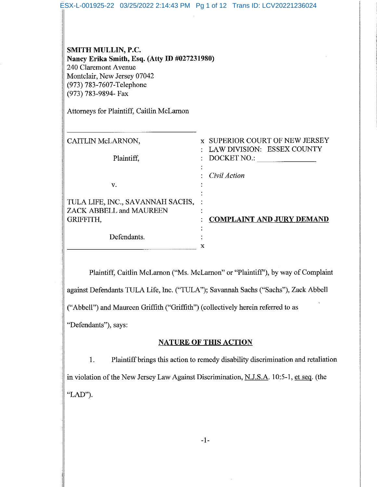| ESX-L-001925-22 03/25/2022 2:14:43 PM Pg 1 of 12 Trans ID: LCV20221236024                                                                                                                                                 |                                                                                      |
|---------------------------------------------------------------------------------------------------------------------------------------------------------------------------------------------------------------------------|--------------------------------------------------------------------------------------|
| SMITH MULLIN, P.C.<br>Nancy Erika Smith, Esq. (Atty ID #027231980)<br>240 Claremont Avenue<br>Montclair, New Jersey 07042<br>(973) 783-7607-Telephone<br>(973) 783-9894- Fax<br>Attorneys for Plaintiff, Caitlin McLarnon |                                                                                      |
| CAITLIN McLARNON,<br>Plaintiff.                                                                                                                                                                                           | <b>x SUPERIOR COURT OF NEW JERSEY</b><br>: LAW DIVISION: ESSEX COUNTY<br>DOCKET NO.: |
| V.                                                                                                                                                                                                                        | Civil Action                                                                         |
| TULA LIFE, INC., SAVANNAH SACHS,<br>ZACK ABBELL and MAUREEN<br>GRIFFITH,                                                                                                                                                  | <b>COMPLAINT AND JURY DEMAND</b>                                                     |
| Defendants.                                                                                                                                                                                                               | X                                                                                    |

Plaintiff, Caitlin McLarnon ("Ms. McLarnon" or "Plaintiff"), by way of Complaint against Defendants TULA Life, Inc. ("TULA"); Savannah Sachs ("Sachs"), Zack Abbell ("Abbell") and Maureen Griffith ("Griffith") (collectively herein referred to as "Defendants"), says:

## **NATURE OF THIS ACTION**

Plaintiff brings this action to remedy disability discrimination and retaliation  $1.$ in violation of the New Jersey Law Against Discrimination, N.J.S.A. 10:5-1, et seq. (the "LAD").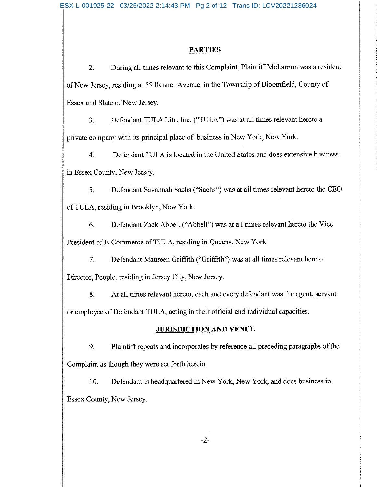## **PARTIES**

During all times relevant to this Complaint, Plaintiff McLarnon was a resident 2. of New Jersey, residing at 55 Renner Avenue, in the Township of Bloomfield, County of Essex and State of New Jersey.

Defendant TULA Life, Inc. ("TULA") was at all times relevant hereto a  $\overline{3}$ . private company with its principal place of business in New York, New York.

Defendant TULA is located in the United States and does extensive business  $4.$ in Essex County, New Jersey.

5. Defendant Savannah Sachs ("Sachs") was at all times relevant hereto the CEO of TULA, residing in Brooklyn, New York.

6. Defendant Zack Abbell ("Abbell") was at all times relevant hereto the Vice President of E-Commerce of TULA, residing in Queens, New York.

Defendant Maureen Griffith ("Griffith") was at all times relevant hereto  $7.$ Director, People, residing in Jersey City, New Jersey.

8. At all times relevant hereto, each and every defendant was the agent, servant or employee of Defendant TULA, acting in their official and individual capacities.

## **JURISDICTION AND VENUE**

9. Plaintiff repeats and incorporates by reference all preceding paragraphs of the Complaint as though they were set forth herein.

10. Defendant is headquartered in New York, New York, and does business in Essex County, New Jersey.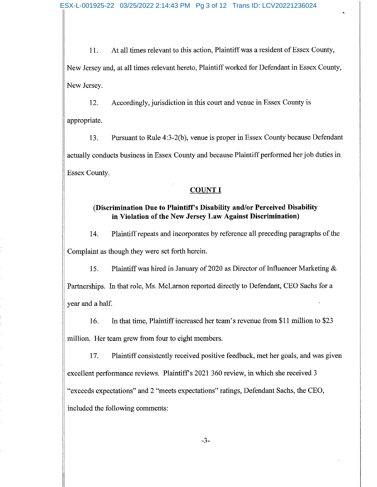At all times relevant to this action, Plaintiff was a resident of Essex County, 11. New Jersey and, at all times relevant hereto, Plaintiff worked for Defendant in Essex County, New Jersey.

Accordingly, jurisdiction in this court and venue in Essex County is  $12.$ appropriate.

Pursuant to Rule 4:3-2(b), venue is proper in Essex County because Defendant 13. actually conducts business in Essex County and because Plaintiff performed her job duties in Essex County.

## **COUNT I**

# (Discrimination Due to Plaintiff's Disability and/or Perceived Disability in Violation of the New Jersey Law Against Discrimination)

14. Plaintiff repeats and incorporates by reference all preceding paragraphs of the Complaint as though they were set forth herein.

Plaintiff was hired in January of 2020 as Director of Influencer Marketing & 15. Partnerships. In that role, Ms. McLarnon reported directly to Defendant, CEO Sachs for a year and a half.

16. In that time, Plaintiff increased her team's revenue from \$11 million to \$23 million. Her team grew from four to eight members.

17. Plaintiff consistently received positive feedback, met her goals, and was given excellent performance reviews. Plaintiff's 2021 360 review, in which she received 3 "exceeds expectations" and 2 "meets expectations" ratings, Defendant Sachs, the CEO, included the following comments: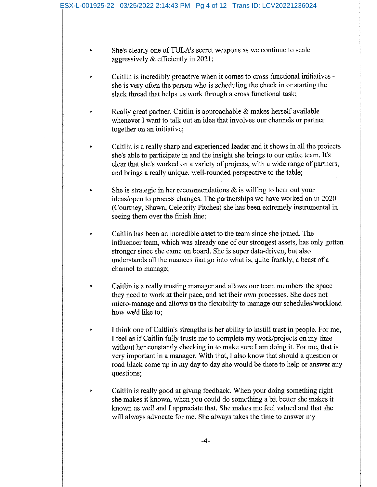$\bullet$ 

- She's clearly one of TULA's secret weapons as we continue to scale aggressively & efficiently in 2021;
- Caitlin is incredibly proactive when it comes to cross functional initiatives she is very often the person who is scheduling the check in or starting the slack thread that helps us work through a cross functional task;
- Really great partner. Caitlin is approachable  $\&$  makes herself available whenever I want to talk out an idea that involves our channels or partner together on an initiative;
- Caitlin is a really sharp and experienced leader and it shows in all the projects she's able to participate in and the insight she brings to our entire team. It's clear that she's worked on a variety of projects, with a wide range of partners, and brings a really unique, well-rounded perspective to the table;
- She is strategic in her recommendations  $\&$  is willing to hear out your ideas/open to process changes. The partnerships we have worked on in 2020 (Courtney, Shawn, Celebrity Pitches) she has been extremely instrumental in seeing them over the finish line;
- Caitlin has been an incredible asset to the team since she joined. The influencer team, which was already one of our strongest assets, has only gotten stronger since she came on board. She is super data-driven, but also understands all the nuances that go into what is, quite frankly, a beast of a channel to manage;
- Caitlin is a really trusting manager and allows our team members the space they need to work at their pace, and set their own processes. She does not micro-manage and allows us the flexibility to manage our schedules/workload how we'd like to;
- I think one of Caitlin's strengths is her ability to instill trust in people. For me, I feel as if Caitlin fully trusts me to complete my work/projects on my time without her constantly checking in to make sure I am doing it. For me, that is very important in a manager. With that, I also know that should a question or road black come up in my day to day she would be there to help or answer any questions;
- Caitlin is really good at giving feedback. When your doing something right she makes it known, when you could do something a bit better she makes it known as well and I appreciate that. She makes me feel valued and that she will always advocate for me. She always takes the time to answer my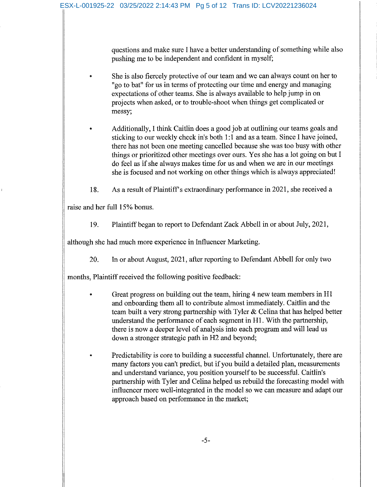questions and make sure I have a better understanding of something while also pushing me to be independent and confident in myself;

- She is also fiercely protective of our team and we can always count on her to "go to bat" for us in terms of protecting our time and energy and managing expectations of other teams. She is always available to help jump in on projects when asked, or to trouble-shoot when things get complicated or messy;
- Additionally, I think Caitlin does a good job at outlining our teams goals and sticking to our weekly check in's both 1:1 and as a team. Since I have joined, there has not been one meeting cancelled because she was too busy with other things or prioritized other meetings over ours. Yes she has a lot going on but I do feel as if she always makes time for us and when we are in our meetings she is focused and not working on other things which is always appreciated!
- 18. As a result of Plaintiff's extraordinary performance in 2021, she received a

raise and her full 15% bonus.

 $\bullet$ 

19. Plaintiff began to report to Defendant Zack Abbell in or about July, 2021,

although she had much more experience in Influencer Marketing.

20. In or about August, 2021, after reporting to Defendant Abbell for only two

months, Plaintiff received the following positive feedback:

- Great progress on building out the team, hiring 4 new team members in H1 and onboarding them all to contribute almost immediately. Caitlin and the team built a very strong partnership with Tyler & Celina that has helped better understand the performance of each segment in H1. With the partnership, there is now a deeper level of analysis into each program and will lead us down a stronger strategic path in H2 and beyond;
- Predictability is core to building a successful channel. Unfortunately, there are many factors you can't predict, but if you build a detailed plan, measurements and understand variance, you position yourself to be successful. Caitlin's partnership with Tyler and Celina helped us rebuild the forecasting model with influencer more well-integrated in the model so we can measure and adapt our approach based on performance in the market;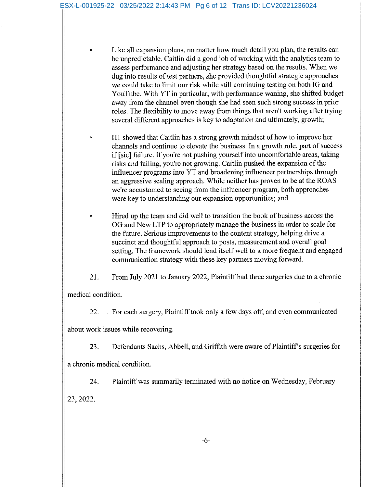Like all expansion plans, no matter how much detail you plan, the results can be unpredictable. Caitlin did a good job of working with the analytics team to assess performance and adjusting her strategy based on the results. When we dug into results of test partners, she provided thoughtful strategic approaches we could take to limit our risk while still continuing testing on both IG and YouTube. With YT in particular, with performance waning, she shifted budget away from the channel even though she had seen such strong success in prior roles. The flexibility to move away from things that aren't working after trying several different approaches is key to adaptation and ultimately, growth;

H1 showed that Caitlin has a strong growth mindset of how to improve her channels and continue to elevate the business. In a growth role, part of success if [sic] failure. If you're not pushing yourself into uncomfortable areas, taking risks and failing, you're not growing. Caitlin pushed the expansion of the influencer programs into YT and broadening influencer partnerships through an aggressive scaling approach. While neither has proven to be at the ROAS we're accustomed to seeing from the influencer program, both approaches were key to understanding our expansion opportunities; and

- Hired up the team and did well to transition the book of business across the OG and New LTP to appropriately manage the business in order to scale for the future. Serious improvements to the content strategy, helping drive a succinct and thoughtful approach to posts, measurement and overall goal setting. The framework should lend itself well to a more frequent and engaged communication strategy with these key partners moving forward.
- 21. From July 2021 to January 2022, Plaintiff had three surgeries due to a chronic

medical condition.

22. For each surgery, Plaintiff took only a few days off, and even communicated

about work issues while recovering.

23. Defendants Sachs, Abbell, and Griffith were aware of Plaintiff's surgeries for

a chronic medical condition.

Plaintiff was summarily terminated with no notice on Wednesday, February 24. 23, 2022.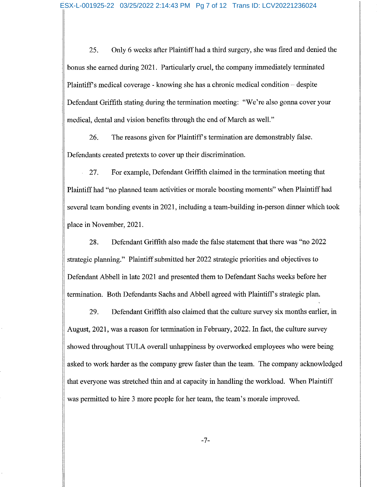25. Only 6 weeks after Plaintiff had a third surgery, she was fired and denied the bonus she earned during 2021. Particularly cruel, the company immediately terminated Plaintiff's medical coverage - knowing she has a chronic medical condition – despite Defendant Griffith stating during the termination meeting: "We're also gonna cover your medical, dental and vision benefits through the end of March as well."

26. The reasons given for Plaintiff's termination are demonstrably false. Defendants created pretexts to cover up their discrimination.

27. For example, Defendant Griffith claimed in the termination meeting that Plaintiff had "no planned team activities or morale boosting moments" when Plaintiff had several team bonding events in 2021, including a team-building in-person dinner which took place in November, 2021.

28. Defendant Griffith also made the false statement that there was "no 2022 strategic planning." Plaintiff submitted her 2022 strategic priorities and objectives to Defendant Abbell in late 2021 and presented them to Defendant Sachs weeks before her termination. Both Defendants Sachs and Abbell agreed with Plaintiff's strategic plan.

29. Defendant Griffith also claimed that the culture survey six months earlier, in August, 2021, was a reason for termination in February, 2022. In fact, the culture survey showed throughout TULA overall unhappiness by overworked employees who were being asked to work harder as the company grew faster than the team. The company acknowledged that everyone was stretched thin and at capacity in handling the workload. When Plaintiff was permitted to hire 3 more people for her team, the team's morale improved.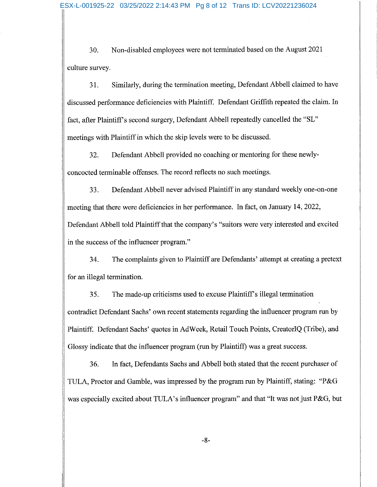Non-disabled employees were not terminated based on the August 2021 30. culture survey.

Similarly, during the termination meeting, Defendant Abbell claimed to have 31. discussed performance deficiencies with Plaintiff. Defendant Griffith repeated the claim. In fact, after Plaintiff's second surgery, Defendant Abbell repeatedly cancelled the "SL" meetings with Plaintiff in which the skip levels were to be discussed.

32. Defendant Abbell provided no coaching or mentoring for these newlyconcocted terminable offenses. The record reflects no such meetings.

33. Defendant Abbell never advised Plaintiff in any standard weekly one-on-one meeting that there were deficiencies in her performance. In fact, on January 14, 2022, Defendant Abbell told Plaintiff that the company's "suitors were very interested and excited in the success of the influencer program."

The complaints given to Plaintiff are Defendants' attempt at creating a pretext 34. for an illegal termination.

35. The made-up criticisms used to excuse Plaintiff's illegal termination contradict Defendant Sachs' own recent statements regarding the influencer program run by Plaintiff. Defendant Sachs' quotes in AdWeek, Retail Touch Points, CreatorIQ (Tribe), and Glossy indicate that the influencer program (run by Plaintiff) was a great success.

36. In fact, Defendants Sachs and Abbell both stated that the recent purchaser of TULA, Proctor and Gamble, was impressed by the program run by Plaintiff, stating: "P&G was especially excited about TULA's influencer program" and that "It was not just P&G, but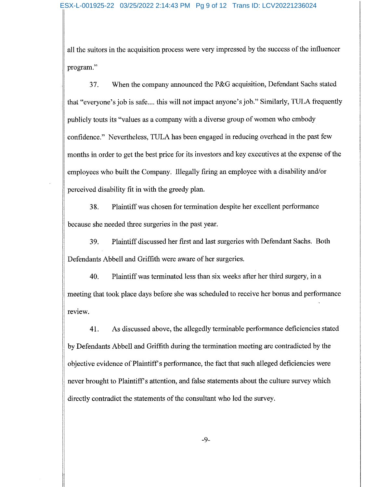all the suitors in the acquisition process were very impressed by the success of the influencer program."

37. When the company announced the P&G acquisition, Defendant Sachs stated that "everyone's job is safe.... this will not impact anyone's job." Similarly, TULA frequently publicly touts its "values as a company with a diverse group of women who embody confidence." Nevertheless, TULA has been engaged in reducing overhead in the past few months in order to get the best price for its investors and key executives at the expense of the employees who built the Company. Illegally firing an employee with a disability and/or perceived disability fit in with the greedy plan.

38. Plaintiff was chosen for termination despite her excellent performance because she needed three surgeries in the past year.

39. Plaintiff discussed her first and last surgeries with Defendant Sachs. Both Defendants Abbell and Griffith were aware of her surgeries.

Plaintiff was terminated less than six weeks after her third surgery, in a 40. meeting that took place days before she was scheduled to receive her bonus and performance review.

41. As discussed above, the allegedly terminable performance deficiencies stated by Defendants Abbell and Griffith during the termination meeting are contradicted by the objective evidence of Plaintiff's performance, the fact that such alleged deficiencies were never brought to Plaintiff's attention, and false statements about the culture survey which directly contradict the statements of the consultant who led the survey.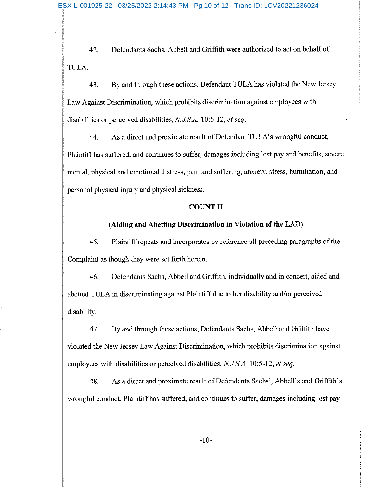Defendants Sachs, Abbell and Griffith were authorized to act on behalf of 42. TULA.

43. By and through these actions, Defendant TULA has violated the New Jersey Law Against Discrimination, which prohibits discrimination against employees with disabilities or perceived disabilities, N.J.S.A. 10:5-12, et seq.

As a direct and proximate result of Defendant TULA's wrongful conduct, 44. Plaintiff has suffered, and continues to suffer, damages including lost pay and benefits, severe mental, physical and emotional distress, pain and suffering, anxiety, stress, humiliation, and personal physical injury and physical sickness.

## **COUNT II**

## (Aiding and Abetting Discrimination in Violation of the LAD)

45. Plaintiff repeats and incorporates by reference all preceding paragraphs of the Complaint as though they were set forth herein.

46. Defendants Sachs, Abbell and Griffith, individually and in concert, aided and abetted TULA in discriminating against Plaintiff due to her disability and/or perceived disability.

47. By and through these actions, Defendants Sachs, Abbell and Griffith have violated the New Jersey Law Against Discrimination, which prohibits discrimination against employees with disabilities or perceived disabilities, N.J.S.A. 10:5-12, et seq.

48. As a direct and proximate result of Defendants Sachs', Abbell's and Griffith's wrongful conduct, Plaintiff has suffered, and continues to suffer, damages including lost pay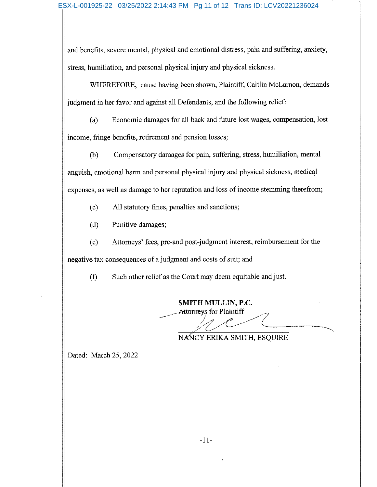and benefits, severe mental, physical and emotional distress, pain and suffering, anxiety, stress, humiliation, and personal physical injury and physical sickness.

WHEREFORE, cause having been shown, Plaintiff, Caitlin McLarnon, demands judgment in her favor and against all Defendants, and the following relief:

Economic damages for all back and future lost wages, compensation, lost  $(a)$ income, fringe benefits, retirement and pension losses;

Compensatory damages for pain, suffering, stress, humiliation, mental  $(b)$ anguish, emotional harm and personal physical injury and physical sickness, medical expenses, as well as damage to her reputation and loss of income stemming therefrom;

All statutory fines, penalties and sanctions;  $(c)$ 

Punitive damages;  $(d)$ 

Attorneys' fees, pre-and post-judgment interest, reimbursement for the  $(e)$ negative tax consequences of a judgment and costs of suit; and

Such other relief as the Court may deem equitable and just.  $(f)$ 

**SMITH MULLIN, P.C.** Attorneys for Plaintiff

NANCY ERIKA SMITH, ESQUIRE

Dated: March 25, 2022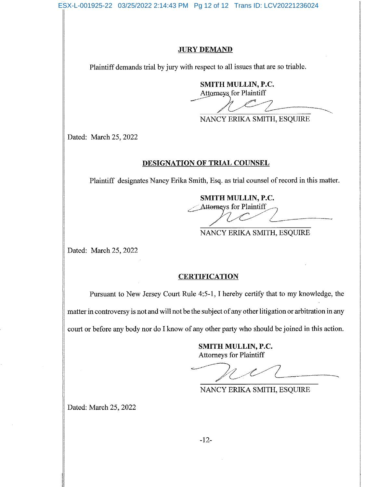ESX-L-001925-22 03/25/2022 2:14:43 PM Pg 12 of 12 Trans ID: LCV20221236024

#### **JURY DEMAND**

Plaintiff demands trial by jury with respect to all issues that are so triable.

SMITH MULLIN, P.C.

**Attorneys** for Plaintiff

NANCY ERIKA SMITH, ESQUIRE

Dated: March 25, 2022

#### DESIGNATION OF TRIAL COUNSEL

Plaintiff designates Nancy Erika Smith, Esq. as trial counsel of record in this matter.

SMITH MULLIN, P.C. Attorneys for Plaintiff

NANCY ERIKA SMITH, ESQUIRE

Dated: March 25, 2022

## **CERTIFICATION**

Pursuant to New Jersey Court Rule 4:5-1, I hereby certify that to my knowledge, the matter in controversy is not and will not be the subject of any other litigation or arbitration in any court or before any body nor do I know of any other party who should be joined in this action.

> SMITH MULLIN, P.C. **Attorneys for Plaintiff**

NANCY ERIKA SMITH, ESQUIRE

Dated: March 25, 2022

 $-12-$